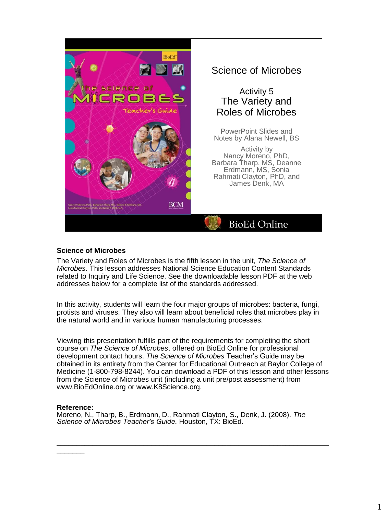

### **Science of Microbes**

The Variety and Roles of Microbes is the fifth lesson in the unit, *The Science of Microbes*. This lesson addresses National Science Education Content Standards related to Inquiry and Life Science. See the downloadable lesson PDF at the web addresses below for a complete list of the standards addressed.

In this activity, students will learn the four major groups of microbes: bacteria, fungi, protists and viruses. They also will learn about beneficial roles that microbes play in the natural world and in various human manufacturing processes.

Viewing this presentation fulfills part of the requirements for completing the short course on *The Science of Microbes*, offered on BioEd Online for professional development contact hours. *The Science of Microbes* Teacher's Guide may be obtained in its entirety from the Center for Educational Outreach at Baylor College of Medicine (1-800-798-8244). You can download a PDF of this lesson and other lessons from the Science of Microbes unit (including a unit pre/post assessment) from www.BioEdOnline.org or www.K8Science.org.

 $\overline{\phantom{a}}$  , and the set of the set of the set of the set of the set of the set of the set of the set of the set of the set of the set of the set of the set of the set of the set of the set of the set of the set of the s

#### **Reference:**

 $\overline{\phantom{a}}$ 

Moreno, N., Tharp, B., Erdmann, D., Rahmati Clayton, S., Denk, J. (2008). *The Science of Microbes Teacher's Guide.* Houston, TX: BioEd.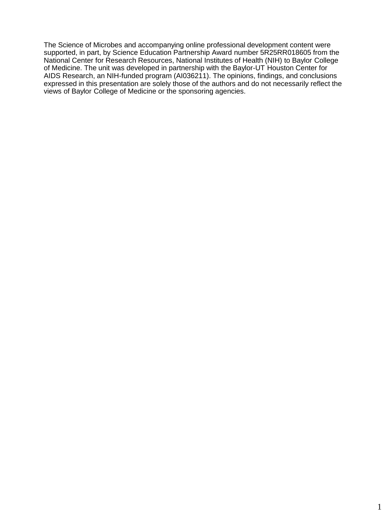The Science of Microbes and accompanying online professional development content were supported, in part, by Science Education Partnership Award number 5R25RR018605 from the National Center for Research Resources, National Institutes of Health (NIH) to Baylor College of Medicine. The unit was developed in partnership with the Baylor-UT Houston Center for AIDS Research, an NIH-funded program (AI036211). The opinions, findings, and conclusions expressed in this presentation are solely those of the authors and do not necessarily reflect the views of Baylor College of Medicine or the sponsoring agencies.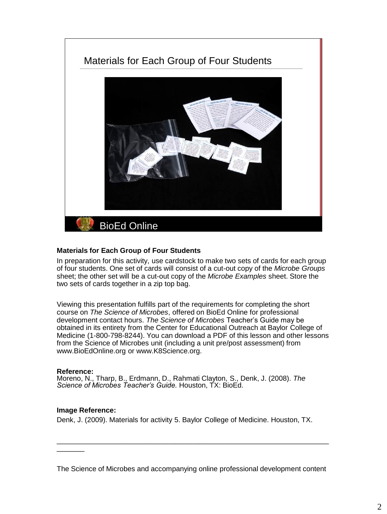

# **Materials for Each Group of Four Students**

In preparation for this activity, use cardstock to make two sets of cards for each group of four students. One set of cards will consist of a cut-out copy of the *Microbe Groups*  sheet; the other set will be a cut-out copy of the *Microbe Examples* sheet. Store the two sets of cards together in a zip top bag.

Viewing this presentation fulfills part of the requirements for completing the short course on *The Science of Microbes*, offered on BioEd Online for professional development contact hours. *The Science of Microbes* Teacher's Guide may be obtained in its entirety from the Center for Educational Outreach at Baylor College of Medicine (1-800-798-8244). You can download a PDF of this lesson and other lessons from the Science of Microbes unit (including a unit pre/post assessment) from www.BioEdOnline.org or www.K8Science.org.

#### **Reference:**

 $\overline{\phantom{a}}$ 

Moreno, N., Tharp, B., Erdmann, D., Rahmati Clayton, S., Denk, J. (2008). *The Science of Microbes Teacher's Guide.* Houston, TX: BioEd.

# **Image Reference:**

Denk, J. (2009). Materials for activity 5. Baylor College of Medicine. Houston, TX.

The Science of Microbes and accompanying online professional development content

\_\_\_\_\_\_\_\_\_\_\_\_\_\_\_\_\_\_\_\_\_\_\_\_\_\_\_\_\_\_\_\_\_\_\_\_\_\_\_\_\_\_\_\_\_\_\_\_\_\_\_\_\_\_\_\_\_\_\_\_\_\_\_\_\_\_\_\_\_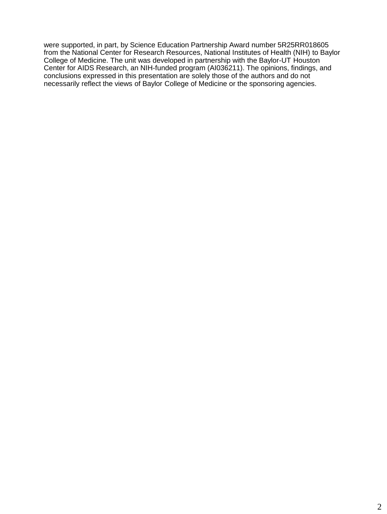were supported, in part, by Science Education Partnership Award number 5R25RR018605 from the National Center for Research Resources, National Institutes of Health (NIH) to Baylor College of Medicine. The unit was developed in partnership with the Baylor-UT Houston Center for AIDS Research, an NIH-funded program (AI036211). The opinions, findings, and conclusions expressed in this presentation are solely those of the authors and do not necessarily reflect the views of Baylor College of Medicine or the sponsoring agencies.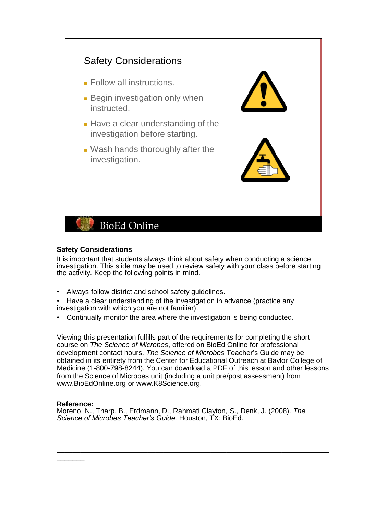

#### **Safety Considerations**

It is important that students always think about safety when conducting a science investigation. This slide may be used to review safety with your class before starting the activity. Keep the following points in mind.

• Always follow district and school safety guidelines.

• Have a clear understanding of the investigation in advance (practice any investigation with which you are not familiar).

• Continually monitor the area where the investigation is being conducted.

Viewing this presentation fulfills part of the requirements for completing the short course on *The Science of Microbes*, offered on BioEd Online for professional development contact hours. *The Science of Microbes* Teacher's Guide may be obtained in its entirety from the Center for Educational Outreach at Baylor College of Medicine (1-800-798-8244). You can download a PDF of this lesson and other lessons from the Science of Microbes unit (including a unit pre/post assessment) from www.BioEdOnline.org or www.K8Science.org.

\_\_\_\_\_\_\_\_\_\_\_\_\_\_\_\_\_\_\_\_\_\_\_\_\_\_\_\_\_\_\_\_\_\_\_\_\_\_\_\_\_\_\_\_\_\_\_\_\_\_\_\_\_\_\_\_\_\_\_\_\_\_\_\_\_\_\_\_\_

#### **Reference:**

 $\overline{\phantom{a}}$ 

Moreno, N., Tharp, B., Erdmann, D., Rahmati Clayton, S., Denk, J. (2008). *The Science of Microbes Teacher's Guide.* Houston, TX: BioEd.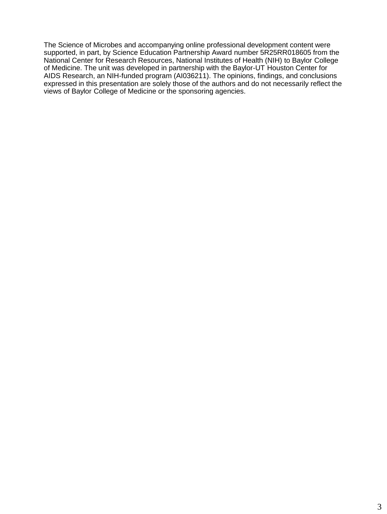The Science of Microbes and accompanying online professional development content were supported, in part, by Science Education Partnership Award number 5R25RR018605 from the National Center for Research Resources, National Institutes of Health (NIH) to Baylor College of Medicine. The unit was developed in partnership with the Baylor-UT Houston Center for AIDS Research, an NIH-funded program (AI036211). The opinions, findings, and conclusions expressed in this presentation are solely those of the authors and do not necessarily reflect the views of Baylor College of Medicine or the sponsoring agencies.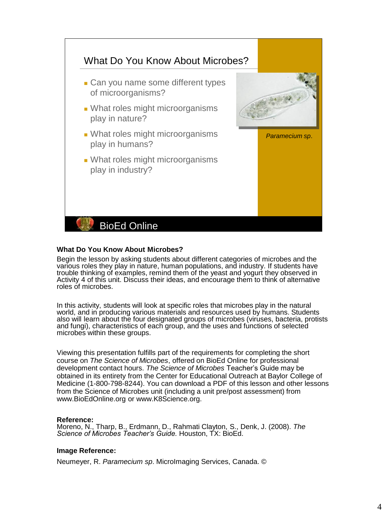

### **What Do You Know About Microbes?**

Begin the lesson by asking students about different categories of microbes and the various roles they play in nature, human populations, and industry. If students have trouble thinking of examples, remind them of the yeast and yogurt they observed in Activity 4 of this unit. Discuss their ideas, and encourage them to think of alternative roles of microbes.

In this activity, students will look at specific roles that microbes play in the natural world, and in producing various materials and resources used by humans. Students also will learn about the four designated groups of microbes (viruses, bacteria, protists and fungi), characteristics of each group, and the uses and functions of selected microbes within these groups.

Viewing this presentation fulfills part of the requirements for completing the short course on *The Science of Microbes*, offered on BioEd Online for professional development contact hours. *The Science of Microbes* Teacher's Guide may be obtained in its entirety from the Center for Educational Outreach at Baylor College of Medicine (1-800-798-8244). You can download a PDF of this lesson and other lessons from the Science of Microbes unit (including a unit pre/post assessment) from www.BioEdOnline.org or www.K8Science.org.

#### **Reference:**

Moreno, N., Tharp, B., Erdmann, D., Rahmati Clayton, S., Denk, J. (2008). *The Science of Microbes Teacher's Guide.* Houston, TX: BioEd.

#### **Image Reference:**

Neumeyer, R. *Paramecium sp*. MicroImaging Services, Canada. ©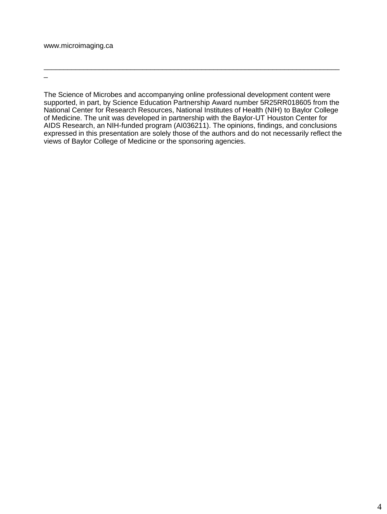\_

The Science of Microbes and accompanying online professional development content were supported, in part, by Science Education Partnership Award number 5R25RR018605 from the National Center for Research Resources, National Institutes of Health (NIH) to Baylor College of Medicine. The unit was developed in partnership with the Baylor-UT Houston Center for AIDS Research, an NIH-funded program (AI036211). The opinions, findings, and conclusions expressed in this presentation are solely those of the authors and do not necessarily reflect the views of Baylor College of Medicine or the sponsoring agencies.

\_\_\_\_\_\_\_\_\_\_\_\_\_\_\_\_\_\_\_\_\_\_\_\_\_\_\_\_\_\_\_\_\_\_\_\_\_\_\_\_\_\_\_\_\_\_\_\_\_\_\_\_\_\_\_\_\_\_\_\_\_\_\_\_\_\_\_\_\_\_\_\_\_\_\_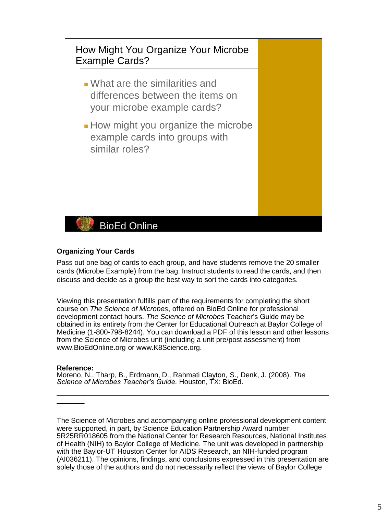

# **Organizing Your Cards**

Pass out one bag of cards to each group, and have students remove the 20 smaller cards (Microbe Example) from the bag. Instruct students to read the cards, and then discuss and decide as a group the best way to sort the cards into categories.

Viewing this presentation fulfills part of the requirements for completing the short course on *The Science of Microbes*, offered on BioEd Online for professional development contact hours. *The Science of Microbes* Teacher's Guide may be obtained in its entirety from the Center for Educational Outreach at Baylor College of Medicine (1-800-798-8244). You can download a PDF of this lesson and other lessons from the Science of Microbes unit (including a unit pre/post assessment) from www.BioEdOnline.org or www.K8Science.org.

# **Reference:**

 $\overline{\phantom{a}}$ 

Moreno, N., Tharp, B., Erdmann, D., Rahmati Clayton, S., Denk, J. (2008). *The Science of Microbes Teacher's Guide.* Houston, TX: BioEd.

The Science of Microbes and accompanying online professional development content were supported, in part, by Science Education Partnership Award number 5R25RR018605 from the National Center for Research Resources, National Institutes of Health (NIH) to Baylor College of Medicine. The unit was developed in partnership with the Baylor-UT Houston Center for AIDS Research, an NIH-funded program (AI036211). The opinions, findings, and conclusions expressed in this presentation are solely those of the authors and do not necessarily reflect the views of Baylor College

 $\overline{\phantom{a}}$  , and the contribution of the contribution of the contribution of the contribution of the contribution of the contribution of the contribution of the contribution of the contribution of the contribution of the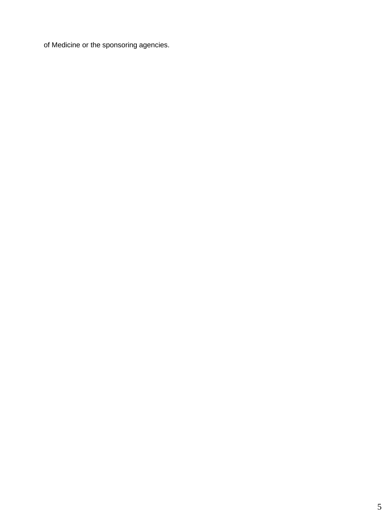of Medicine or the sponsoring agencies.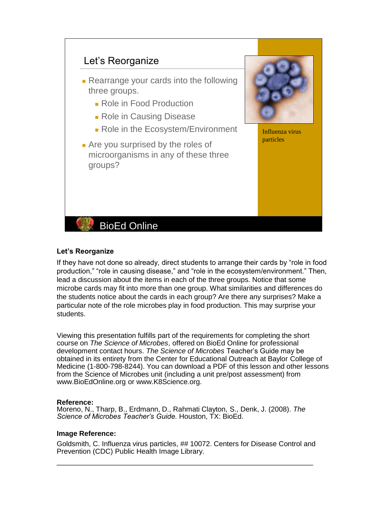

# **Let's Reorganize**

If they have not done so already, direct students to arrange their cards by "role in food production," "role in causing disease," and "role in the ecosystem/environment." Then, lead a discussion about the items in each of the three groups. Notice that some microbe cards may fit into more than one group. What similarities and differences do the students notice about the cards in each group? Are there any surprises? Make a particular note of the role microbes play in food production. This may surprise your students.

Viewing this presentation fulfills part of the requirements for completing the short course on *The Science of Microbes*, offered on BioEd Online for professional development contact hours. *The Science of Microbes* Teacher's Guide may be obtained in its entirety from the Center for Educational Outreach at Baylor College of Medicine (1-800-798-8244). You can download a PDF of this lesson and other lessons from the Science of Microbes unit (including a unit pre/post assessment) from www.BioEdOnline.org or www.K8Science.org.

#### **Reference:**

Moreno, N., Tharp, B., Erdmann, D., Rahmati Clayton, S., Denk, J. (2008). *The Science of Microbes Teacher's Guide.* Houston, TX: BioEd.

#### **Image Reference:**

Goldsmith, C. Influenza virus particles, ## 10072. Centers for Disease Control and Prevention (CDC) Public Health Image Library.

\_\_\_\_\_\_\_\_\_\_\_\_\_\_\_\_\_\_\_\_\_\_\_\_\_\_\_\_\_\_\_\_\_\_\_\_\_\_\_\_\_\_\_\_\_\_\_\_\_\_\_\_\_\_\_\_\_\_\_\_\_\_\_\_\_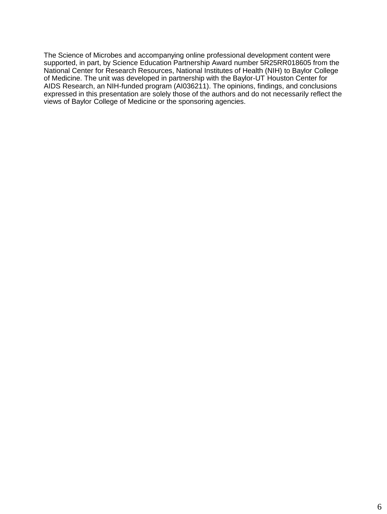The Science of Microbes and accompanying online professional development content were supported, in part, by Science Education Partnership Award number 5R25RR018605 from the National Center for Research Resources, National Institutes of Health (NIH) to Baylor College of Medicine. The unit was developed in partnership with the Baylor-UT Houston Center for AIDS Research, an NIH-funded program (AI036211). The opinions, findings, and conclusions expressed in this presentation are solely those of the authors and do not necessarily reflect the views of Baylor College of Medicine or the sponsoring agencies.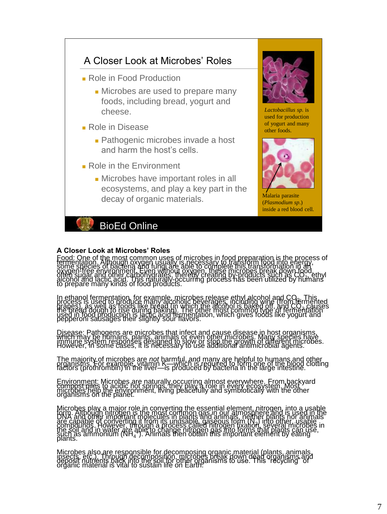

# **A Closer Look at Microbes' Roles**

Food: One of the most common uses of microbes in food preparation is the process of<br>fermentation. Although oxygen usually is necessary to transform food into energy,<br>some species of bacteria and fungi are able to complete oxygen free environment, Even without oxygen, these microbes break down food.<br>often sugar and other carbonydrates, thereby creating by-products such as CO<sub>21</sub> ethyl<br>alcohol and lactic acids of food products.<br>to prepare man

In ethanol fermentation, for example, microbes release ethyl alcohol and CO...This<br>process is used to produce many alcoholic beyerages, including wine firom fermented<br>grapes), as well as foods like bread (in which the alco

Disease: Pathogens are microbes that infect and cause disease in host organisms,<br>which may be mumans, plants, animals of even other microbes. Many species have<br>inmune system, responses designed to slow or stop, the growth

The majority of microbes are *not* harmful, and many are helpful to humans and other<br>organisms. For example, vitamin K—which is required to form one of the blood clotting<br>factors (prothrombin) in the liver—is produced by b

Environment: Microbes are naturally occurring almost everywhere. From backyard<br>compose mies to acidic hot springs, they play a role in every ecosystem. Most variation<br>organisms on the enanct.

Microbes play a major role in converting the essential element, nitrogen, into a usable<br>LOMA: Although nitrogen is the most common gas in our atmosphere and is used in the<br>DNA: and other important molecules in plants and a are capable of converting it from its unusable, "dasebuts form" (N.') info other "usable"<br>compounds . However, through a process called nirogen fixation, several microbes in<br>the soil and in water are able to change nitroge

Microbes also are responsible for decomposing organic material (plants, animals, insects, etc.)<br>insects, etc. etc. also incomposition, microbes break down dead organisms, and<br>organic material is vital to sustain life on Ea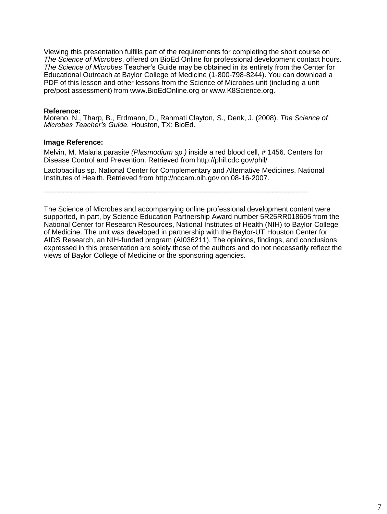Viewing this presentation fulfills part of the requirements for completing the short course on *The Science of Microbes*, offered on BioEd Online for professional development contact hours. *The Science of Microbes* Teacher's Guide may be obtained in its entirety from the Center for Educational Outreach at Baylor College of Medicine (1-800-798-8244). You can download a PDF of this lesson and other lessons from the Science of Microbes unit (including a unit pre/post assessment) from www.BioEdOnline.org or www.K8Science.org.

#### **Reference:**

Moreno, N., Tharp, B., Erdmann, D., Rahmati Clayton, S., Denk, J. (2008). *The Science of Microbes Teacher's Guide.* Houston, TX: BioEd.

#### **Image Reference:**

Melvin, M. Malaria parasite *(Plasmodium sp.)* inside a red blood cell, # 1456. Centers for Disease Control and Prevention. Retrieved from http://phil.cdc.gov/phil/

Lactobacillus sp. National Center for Complementary and Alternative Medicines, National Institutes of Health. Retrieved from http://nccam.nih.gov on 08-16-2007.

 $\overline{\phantom{a}}$  , and the set of the set of the set of the set of the set of the set of the set of the set of the set of the set of the set of the set of the set of the set of the set of the set of the set of the set of the s

The Science of Microbes and accompanying online professional development content were supported, in part, by Science Education Partnership Award number 5R25RR018605 from the National Center for Research Resources, National Institutes of Health (NIH) to Baylor College of Medicine. The unit was developed in partnership with the Baylor-UT Houston Center for AIDS Research, an NIH-funded program (AI036211). The opinions, findings, and conclusions expressed in this presentation are solely those of the authors and do not necessarily reflect the views of Baylor College of Medicine or the sponsoring agencies.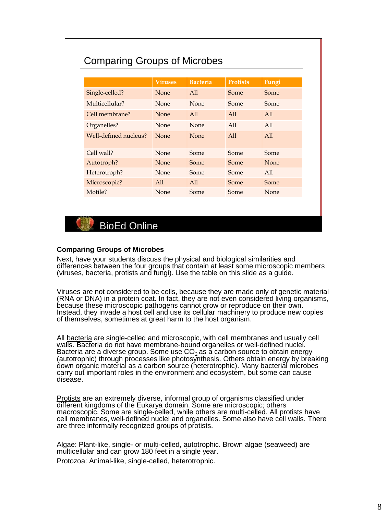# Comparing Groups of Microbes

|                       | <b>Viruses</b> | <b>Bacteria</b> | <b>Protists</b> | Fungi       |
|-----------------------|----------------|-----------------|-----------------|-------------|
| Single-celled?        | <b>None</b>    | All             | Some            | Some        |
| Multicellular?        | None           | <b>None</b>     | Some            | Some        |
| Cell membrane?        | <b>None</b>    | All             | All             | All         |
| Organelles?           | None           | <b>None</b>     | All             | All         |
| Well-defined nucleus? | None           | None            | All             | A11         |
| $Cell$ wall?          | None           | Some            | Some            | Some        |
| Autotroph?            | None           | Some            | Some            | None        |
| Heterotroph?          | None           | Some            | Some            | All         |
| Microscopic?          | All            | All             | Some            | Some        |
| Motile?               | None           | Some            | Some            | <b>None</b> |

BioEd Online

#### **Comparing Groups of Microbes**

Next, have your students discuss the physical and biological similarities and differences between the four groups that contain at least some microscopic members (viruses, bacteria, protists and fungi). Use the table on this slide as a guide.

Viruses are not considered to be cells, because they are made only of genetic material (RNA or DNA) in a protein coat. In fact, they are not even considered living organisms, because these microscopic pathogens cannot grow or reproduce on their own. Instead, they invade a host cell and use its cellular machinery to produce new copies of themselves, sometimes at great harm to the host organism.

All bacteria are single-celled and microscopic, with cell membranes and usually cell walls. Bacteria do not have membrane-bound organelles or well-defined nuclei. Bacteria are a diverse group. Some use  $CO<sub>2</sub>$  as a carbon source to obtain energy (autotrophic) through processes like photosynthesis. Others obtain energy by breaking down organic material as a carbon source (heterotrophic). Many bacterial microbes carry out important roles in the environment and ecosystem, but some can cause disease.

Protists are an extremely diverse, informal group of organisms classified under different kingdoms of the Eukarya domain. Some are microscopic; others macroscopic. Some are single-celled, while others are multi-celled. All protists have cell membranes, well-defined nuclei and organelles. Some also have cell walls. There are three informally recognized groups of protists.

Algae: Plant-like, single- or multi-celled, autotrophic. Brown algae (seaweed) are multicellular and can grow 180 feet in a single year.

Protozoa: Animal-like, single-celled, heterotrophic.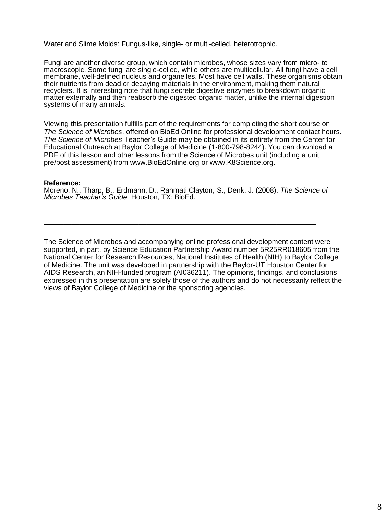Water and Slime Molds: Fungus-like, single- or multi-celled, heterotrophic.

Fungi are another diverse group, which contain microbes, whose sizes vary from micro- to macroscopic. Some fungi are single-celled, while others are multicellular. All fungi have a cell macrocoppur currenting nucleus and organelles. Most have cell walls. These organisms obtain their nutrients from dead or decaying materials in the environment, making them natural recyclers. It is interesting note that fungi secrete digestive enzymes to breakdown organic matter externally and then reabsorb the digested organic matter, unlike the internal digestion systems of many animals.

Viewing this presentation fulfills part of the requirements for completing the short course on *The Science of Microbes*, offered on BioEd Online for professional development contact hours. *The Science of Microbes* Teacher's Guide may be obtained in its entirety from the Center for Educational Outreach at Baylor College of Medicine (1-800-798-8244). You can download a PDF of this lesson and other lessons from the Science of Microbes unit (including a unit pre/post assessment) from www.BioEdOnline.org or www.K8Science.org.

#### **Reference:**

Moreno, N., Tharp, B., Erdmann, D., Rahmati Clayton, S., Denk, J. (2008). *The Science of Microbes Teacher's Guide.* Houston, TX: BioEd.

 $\overline{\phantom{a}}$  , and the set of the set of the set of the set of the set of the set of the set of the set of the set of the set of the set of the set of the set of the set of the set of the set of the set of the set of the s

The Science of Microbes and accompanying online professional development content were supported, in part, by Science Education Partnership Award number 5R25RR018605 from the National Center for Research Resources, National Institutes of Health (NIH) to Baylor College of Medicine. The unit was developed in partnership with the Baylor-UT Houston Center for AIDS Research, an NIH-funded program (AI036211). The opinions, findings, and conclusions expressed in this presentation are solely those of the authors and do not necessarily reflect the views of Baylor College of Medicine or the sponsoring agencies.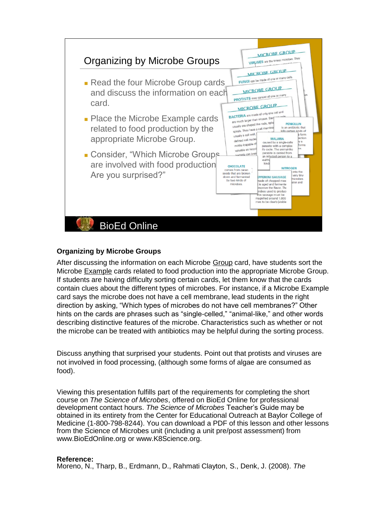

# **Organizing by Microbe Groups**

After discussing the information on each Microbe Group card, have students sort the Microbe Example cards related to food production into the appropriate Microbe Group. If students are having difficulty sorting certain cards, let them know that the cards contain clues about the different types of microbes. For instance, if a Microbe Example card says the microbe does not have a cell membrane, lead students in the right direction by asking, "Which types of microbes do not have cell membranes?" Other hints on the cards are phrases such as "single-celled," "animal-like," and other words describing distinctive features of the microbe. Characteristics such as whether or not the microbe can be treated with antibiotics may be helpful during the sorting process.

Discuss anything that surprised your students. Point out that protists and viruses are not involved in food processing, (although some forms of algae are consumed as food).

Viewing this presentation fulfills part of the requirements for completing the short course on *The Science of Microbes*, offered on BioEd Online for professional development contact hours. *The Science of Microbes* Teacher's Guide may be obtained in its entirety from the Center for Educational Outreach at Baylor College of Medicine (1-800-798-8244). You can download a PDF of this lesson and other lessons from the Science of Microbes unit (including a unit pre/post assessment) from www.BioEdOnline.org or www.K8Science.org.

#### **Reference:**

Moreno, N., Tharp, B., Erdmann, D., Rahmati Clayton, S., Denk, J. (2008). *The*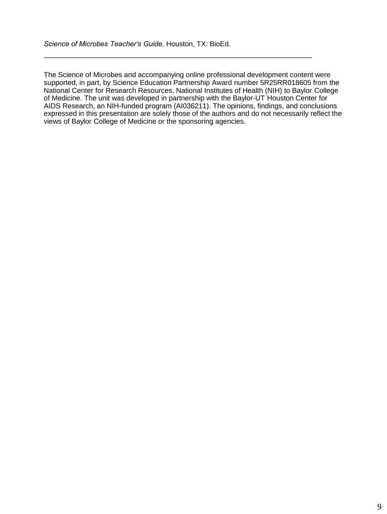The Science of Microbes and accompanying online professional development content were supported, in part, by Science Education Partnership Award number 5R25RR018605 from the National Center for Research Resources, National Institutes of Health (NIH) to Baylor College of Medicine. The unit was developed in partnership with the Baylor-UT Houston Center for AIDS Research, an NIH-funded program (AI036211). The opinions, findings, and conclusions expressed in this presentation are solely those of the authors and do not necessarily reflect the views of Baylor College of Medicine or the sponsoring agencies.

 $\overline{\phantom{a}}$  , and the set of the set of the set of the set of the set of the set of the set of the set of the set of the set of the set of the set of the set of the set of the set of the set of the set of the set of the s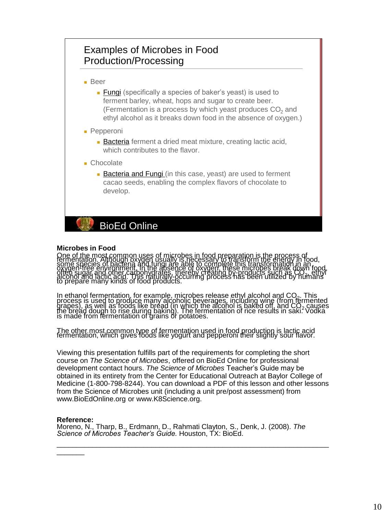# Examples of Microbes in Food Production/Processing

■ Beer

- Fungi (specifically a species of baker's yeast) is used to ferment barley, wheat, hops and sugar to create beer. (Fermentation is a process by which yeast produces  $CO<sub>2</sub>$  and ethyl alcohol as it breaks down food in the absence of oxygen.)
- Pepperoni
	- Bacteria ferment a dried meat mixture, creating lactic acid, which contributes to the flavor.
- Chocolate
	- Bacteria and Fungi (in this case, yeast) are used to ferment cacao seeds, enabling the complex flavors of chocolate to develop.

BioEd Online

#### **Microbes in Food**

One of the most common uses of microbes in food preparation is the process of<br>fermentation. Although oxygen usually is necessary to transform the energy in food,<br>some species of bacteria and fungi are able to complete this oxygen free environment. Th'the absence of oxygen, these microbes break 'down' food,<br>often sugar and other carbonydiates, thereby creating by-products such as CO, .<br>alcohol and lactic acid. This naturally-pccurring process

In ethanol fermentation, for example, microbes release ethyl alcohol and CO<sub>2</sub>. This<br>process is used to produce many alcoholic beverages, including wine (from fermented<br>grapes), as well as foods like bread (in which the al

The other most common type of fermentation used in food production is lactic acid<br>fermentation, which gives foods like yogurt and pepperoni their slightly sour flavor.

Viewing this presentation fulfills part of the requirements for completing the short course on *The Science of Microbes*, offered on BioEd Online for professional development contact hours. *The Science of Microbes* Teacher's Guide may be obtained in its entirety from the Center for Educational Outreach at Baylor College of Medicine (1-800-798-8244). You can download a PDF of this lesson and other lessons from the Science of Microbes unit (including a unit pre/post assessment) from www.BioEdOnline.org or www.K8Science.org.

 $\overline{\phantom{a}}$  ,  $\overline{\phantom{a}}$  ,  $\overline{\phantom{a}}$  ,  $\overline{\phantom{a}}$  ,  $\overline{\phantom{a}}$  ,  $\overline{\phantom{a}}$  ,  $\overline{\phantom{a}}$  ,  $\overline{\phantom{a}}$  ,  $\overline{\phantom{a}}$  ,  $\overline{\phantom{a}}$  ,  $\overline{\phantom{a}}$  ,  $\overline{\phantom{a}}$  ,  $\overline{\phantom{a}}$  ,  $\overline{\phantom{a}}$  ,  $\overline{\phantom{a}}$  ,  $\overline{\phantom{a}}$ 

#### **Reference:**

 $\overline{\phantom{a}}$ 

Moreno, N., Tharp, B., Erdmann, D., Rahmati Clayton, S., Denk, J. (2008). *The Science of Microbes Teacher's Guide.* Houston, TX: BioEd.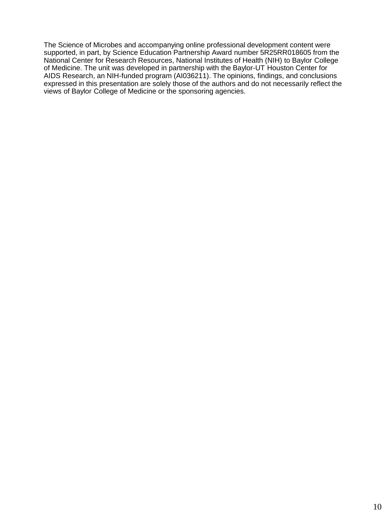The Science of Microbes and accompanying online professional development content were supported, in part, by Science Education Partnership Award number 5R25RR018605 from the National Center for Research Resources, National Institutes of Health (NIH) to Baylor College of Medicine. The unit was developed in partnership with the Baylor-UT Houston Center for AIDS Research, an NIH-funded program (AI036211). The opinions, findings, and conclusions expressed in this presentation are solely those of the authors and do not necessarily reflect the views of Baylor College of Medicine or the sponsoring agencies.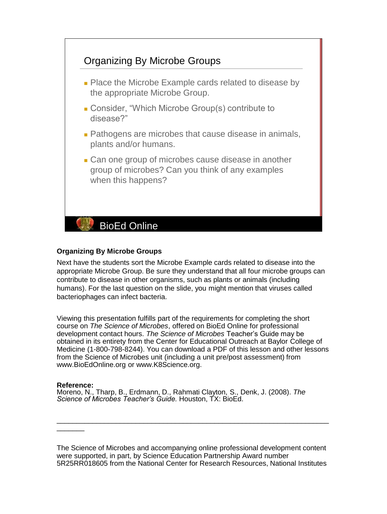

### **Organizing By Microbe Groups**

Next have the students sort the Microbe Example cards related to disease into the appropriate Microbe Group. Be sure they understand that all four microbe groups can contribute to disease in other organisms, such as plants or animals (including humans). For the last question on the slide, you might mention that viruses called bacteriophages can infect bacteria.

Viewing this presentation fulfills part of the requirements for completing the short course on *The Science of Microbes*, offered on BioEd Online for professional development contact hours. *The Science of Microbes* Teacher's Guide may be obtained in its entirety from the Center for Educational Outreach at Baylor College of Medicine (1-800-798-8244). You can download a PDF of this lesson and other lessons from the Science of Microbes unit (including a unit pre/post assessment) from www.BioEdOnline.org or www.K8Science.org.

#### **Reference:**

 $\overline{\phantom{a}}$ 

Moreno, N., Tharp, B., Erdmann, D., Rahmati Clayton, S., Denk, J. (2008). *The Science of Microbes Teacher's Guide.* Houston, TX: BioEd.

The Science of Microbes and accompanying online professional development content were supported, in part, by Science Education Partnership Award number 5R25RR018605 from the National Center for Research Resources, National Institutes

\_\_\_\_\_\_\_\_\_\_\_\_\_\_\_\_\_\_\_\_\_\_\_\_\_\_\_\_\_\_\_\_\_\_\_\_\_\_\_\_\_\_\_\_\_\_\_\_\_\_\_\_\_\_\_\_\_\_\_\_\_\_\_\_\_\_\_\_\_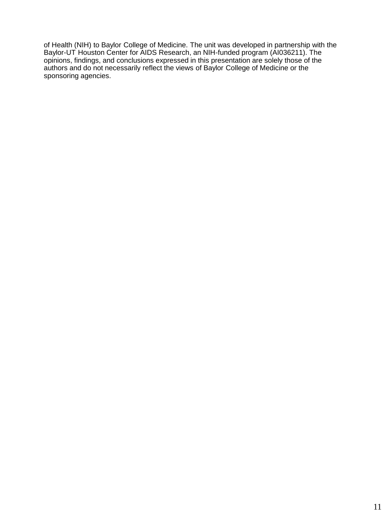of Health (NIH) to Baylor College of Medicine. The unit was developed in partnership with the Baylor-UT Houston Center for AIDS Research, an NIH-funded program (AI036211). The opinions, findings, and conclusions expressed in this presentation are solely those of the authors and do not necessarily reflect the views of Baylor College of Medicine or the sponsoring agencies.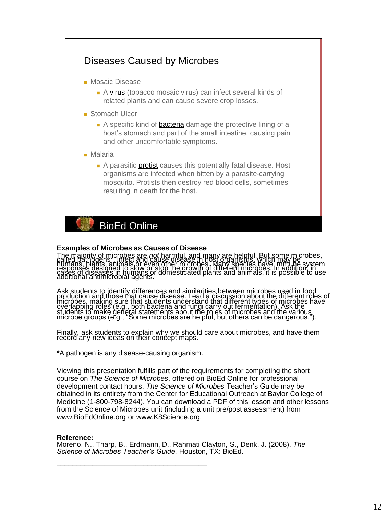

#### **Examples of Microbes as Causes of Disease**

The majority of microbes are not harmful, and many are helpful. But some microbes,<br>called pathogens : infect and cause disease in host organisms, which may be<br>humans, plants, animals or even other microbes, Many species ha

Ask students to identify differences and similarities between microbes used in food<br>production and those that cause disease. Lead a discussion about the different roles of<br>microbes, making sure that students understand tha

Finally, ask students to explain why we should care about microbes, and have them record any new ideas on their concept maps.

**\***A pathogen is any disease-causing organism.

\_\_\_\_\_\_\_\_\_\_\_\_\_\_\_\_\_\_\_\_\_\_\_\_\_\_\_\_\_\_\_\_\_\_\_\_\_\_

Viewing this presentation fulfills part of the requirements for completing the short course on *The Science of Microbes*, offered on BioEd Online for professional development contact hours. *The Science of Microbes* Teacher's Guide may be obtained in its entirety from the Center for Educational Outreach at Baylor College of Medicine (1-800-798-8244). You can download a PDF of this lesson and other lessons from the Science of Microbes unit (including a unit pre/post assessment) from www.BioEdOnline.org or www.K8Science.org.

#### **Reference:**

Moreno, N., Tharp, B., Erdmann, D., Rahmati Clayton, S., Denk, J. (2008). *The Science of Microbes Teacher's Guide.* Houston, TX: BioEd.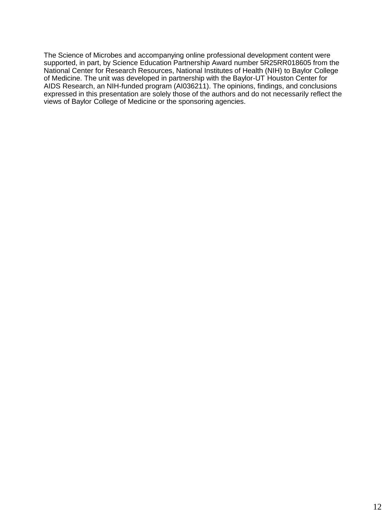The Science of Microbes and accompanying online professional development content were supported, in part, by Science Education Partnership Award number 5R25RR018605 from the National Center for Research Resources, National Institutes of Health (NIH) to Baylor College of Medicine. The unit was developed in partnership with the Baylor-UT Houston Center for AIDS Research, an NIH-funded program (AI036211). The opinions, findings, and conclusions expressed in this presentation are solely those of the authors and do not necessarily reflect the views of Baylor College of Medicine or the sponsoring agencies.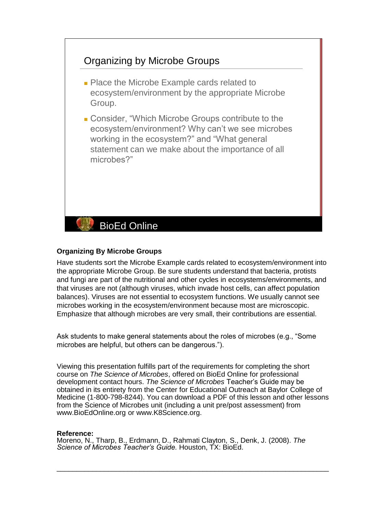# Organizing by Microbe Groups

- Place the Microbe Example cards related to ecosystem/environment by the appropriate Microbe Group.
- Consider, "Which Microbe Groups contribute to the ecosystem/environment? Why can't we see microbes working in the ecosystem?" and "What general statement can we make about the importance of all microbes?"

# BioEd Online

### **Organizing By Microbe Groups**

Have students sort the Microbe Example cards related to ecosystem/environment into the appropriate Microbe Group. Be sure students understand that bacteria, protists and fungi are part of the nutritional and other cycles in ecosystems/environments, and that viruses are not (although viruses, which invade host cells, can affect population balances). Viruses are not essential to ecosystem functions. We usually cannot see microbes working in the ecosystem/environment because most are microscopic. Emphasize that although microbes are very small, their contributions are essential.

Ask students to make general statements about the roles of microbes (e.g., "Some microbes are helpful, but others can be dangerous.").

Viewing this presentation fulfills part of the requirements for completing the short course on *The Science of Microbes*, offered on BioEd Online for professional development contact hours. *The Science of Microbes* Teacher's Guide may be obtained in its entirety from the Center for Educational Outreach at Baylor College of Medicine (1-800-798-8244). You can download a PDF of this lesson and other lessons from the Science of Microbes unit (including a unit pre/post assessment) from www.BioEdOnline.org or www.K8Science.org.

#### **Reference:**

Moreno, N., Tharp, B., Erdmann, D., Rahmati Clayton, S., Denk, J. (2008). *The Science of Microbes Teacher's Guide.* Houston, TX: BioEd.

 $\overline{\phantom{a}}$  , and the set of the set of the set of the set of the set of the set of the set of the set of the set of the set of the set of the set of the set of the set of the set of the set of the set of the set of the s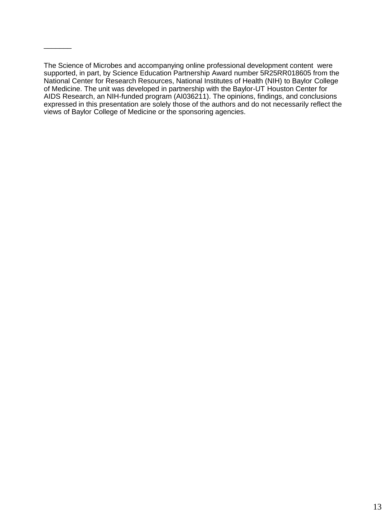The Science of Microbes and accompanying online professional development content were supported, in part, by Science Education Partnership Award number 5R25RR018605 from the National Center for Research Resources, National Institutes of Health (NIH) to Baylor College of Medicine. The unit was developed in partnership with the Baylor-UT Houston Center for AIDS Research, an NIH-funded program (AI036211). The opinions, findings, and conclusions expressed in this presentation are solely those of the authors and do not necessarily reflect the views of Baylor College of Medicine or the sponsoring agencies.

 $\overline{\phantom{a}}$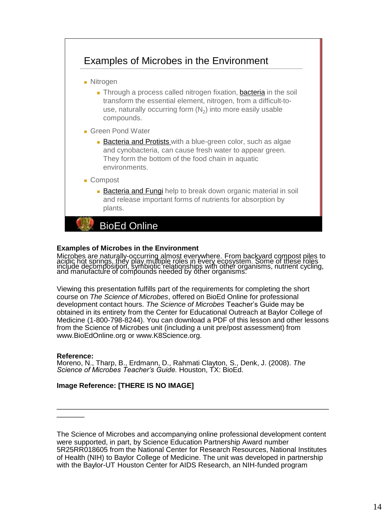

### **Examples of Microbes in the Environment**

Microbes are naturally-occurring almost everywhere. From backyard compost piles to<br>acidic hot springs, they play multiple roles in every ecosystem. Some of these roles include decomposition, symbiotic relationships with other organisms, nutrient cycling,<br>and manufacture of compounds needed by other organisms.

Viewing this presentation fulfills part of the requirements for completing the short course on *The Science of Microbes*, offered on BioEd Online for professional development contact hours. *The Science of Microbes* Teacher's Guide may be obtained in its entirety from the Center for Educational Outreach at Baylor College of Medicine (1-800-798-8244). You can download a PDF of this lesson and other lessons from the Science of Microbes unit (including a unit pre/post assessment) from www.BioEdOnline.org or www.K8Science.org.

#### **Reference:**

 $\overline{\phantom{a}}$ 

Moreno, N., Tharp, B., Erdmann, D., Rahmati Clayton, S., Denk, J. (2008). *The Science of Microbes Teacher's Guide.* Houston, TX: BioEd.

# **Image Reference: [THERE IS NO IMAGE]**

The Science of Microbes and accompanying online professional development content were supported, in part, by Science Education Partnership Award number 5R25RR018605 from the National Center for Research Resources, National Institutes of Health (NIH) to Baylor College of Medicine. The unit was developed in partnership with the Baylor-UT Houston Center for AIDS Research, an NIH-funded program

\_\_\_\_\_\_\_\_\_\_\_\_\_\_\_\_\_\_\_\_\_\_\_\_\_\_\_\_\_\_\_\_\_\_\_\_\_\_\_\_\_\_\_\_\_\_\_\_\_\_\_\_\_\_\_\_\_\_\_\_\_\_\_\_\_\_\_\_\_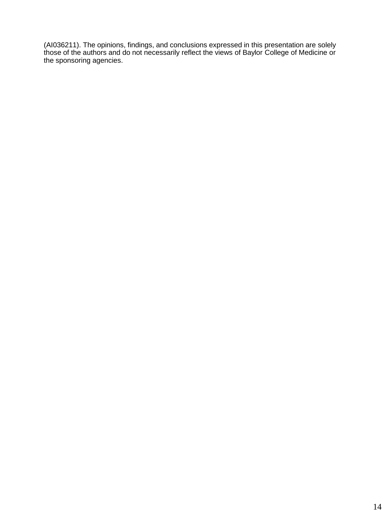(AI036211). The opinions, findings, and conclusions expressed in this presentation are solely those of the authors and do not necessarily reflect the views of Baylor College of Medicine or the sponsoring agencies.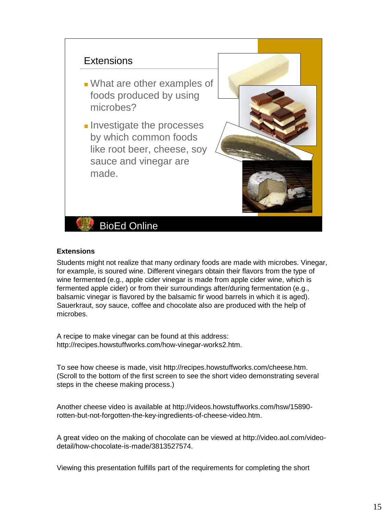# **Extensions**

- What are other examples of foods produced by using microbes?
- Investigate the processes by which common foods like root beer, cheese, soy sauce and vinegar are made.



BioEd Online

# **Extensions**

Students might not realize that many ordinary foods are made with microbes. Vinegar, for example, is soured wine. Different vinegars obtain their flavors from the type of wine fermented (e.g., apple cider vinegar is made from apple cider wine, which is fermented apple cider) or from their surroundings after/during fermentation (e.g., balsamic vinegar is flavored by the balsamic fir wood barrels in which it is aged). Sauerkraut, soy sauce, coffee and chocolate also are produced with the help of microbes.

A recipe to make vinegar can be found at this address: http://recipes.howstuffworks.com/how-vinegar-works2.htm.

To see how cheese is made, visit http://recipes.howstuffworks.com/cheese.htm. (Scroll to the bottom of the first screen to see the short video demonstrating several steps in the cheese making process.)

Another cheese video is available at http://videos.howstuffworks.com/hsw/15890 rotten-but-not-forgotten-the-key-ingredients-of-cheese-video.htm.

A great video on the making of chocolate can be viewed at http://video.aol.com/videodetail/how-chocolate-is-made/3813527574.

Viewing this presentation fulfills part of the requirements for completing the short